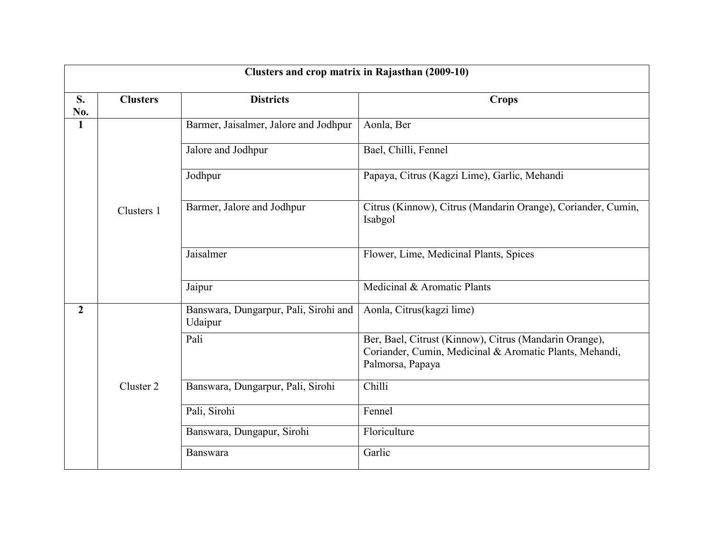| Clusters and crop matrix in Rajasthan (2009-10) |                 |                                                  |                                                                                                                                       |  |  |
|-------------------------------------------------|-----------------|--------------------------------------------------|---------------------------------------------------------------------------------------------------------------------------------------|--|--|
| S.<br>No.                                       | <b>Clusters</b> | <b>Districts</b>                                 | <b>Crops</b>                                                                                                                          |  |  |
| $\mathbf{1}$                                    |                 | Barmer, Jaisalmer, Jalore and Jodhpur            | Aonla, Ber                                                                                                                            |  |  |
|                                                 |                 | Jalore and Jodhpur                               | Bael, Chilli, Fennel                                                                                                                  |  |  |
|                                                 |                 | Jodhpur                                          | Papaya, Citrus (Kagzi Lime), Garlic, Mehandi                                                                                          |  |  |
|                                                 | Clusters 1      | Barmer, Jalore and Jodhpur                       | Citrus (Kinnow), Citrus (Mandarin Orange), Coriander, Cumin,<br>Isabgol                                                               |  |  |
|                                                 |                 | Jaisalmer                                        | Flower, Lime, Medicinal Plants, Spices                                                                                                |  |  |
|                                                 |                 | Jaipur                                           | Medicinal & Aromatic Plants                                                                                                           |  |  |
| $\overline{2}$                                  |                 | Banswara, Dungarpur, Pali, Sirohi and<br>Udaipur | Aonla, Citrus(kagzi lime)                                                                                                             |  |  |
|                                                 |                 | Pali                                             | Ber, Bael, Citrust (Kinnow), Citrus (Mandarin Orange),<br>Coriander, Cumin, Medicinal & Aromatic Plants, Mehandi,<br>Palmorsa, Papaya |  |  |
|                                                 | Cluster 2       | Banswara, Dungarpur, Pali, Sirohi                | Chilli                                                                                                                                |  |  |
|                                                 |                 | Pali, Sirohi                                     | Fennel                                                                                                                                |  |  |
|                                                 |                 | Banswara, Dungapur, Sirohi                       | Floriculture                                                                                                                          |  |  |
|                                                 |                 | Banswara                                         | Garlic                                                                                                                                |  |  |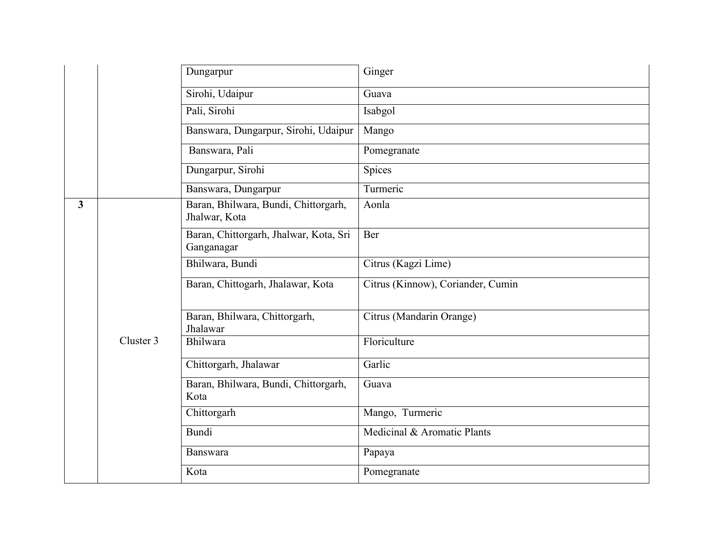|                |           | Dungarpur                                             | Ginger                            |
|----------------|-----------|-------------------------------------------------------|-----------------------------------|
|                |           | Sirohi, Udaipur                                       | Guava                             |
|                |           | Pali, Sirohi                                          | Isabgol                           |
|                |           | Banswara, Dungarpur, Sirohi, Udaipur                  | Mango                             |
|                |           | Banswara, Pali                                        | Pomegranate                       |
|                |           | Dungarpur, Sirohi                                     | Spices                            |
|                |           | Banswara, Dungarpur                                   | Turmeric                          |
| $\overline{3}$ |           | Baran, Bhilwara, Bundi, Chittorgarh,<br>Jhalwar, Kota | Aonla                             |
|                |           | Baran, Chittorgarh, Jhalwar, Kota, Sri<br>Ganganagar  | Ber                               |
|                |           | Bhilwara, Bundi                                       | Citrus (Kagzi Lime)               |
|                |           | Baran, Chittogarh, Jhalawar, Kota                     | Citrus (Kinnow), Coriander, Cumin |
|                |           | Baran, Bhilwara, Chittorgarh,<br>Jhalawar             | Citrus (Mandarin Orange)          |
|                | Cluster 3 | Bhilwara                                              | Floriculture                      |
|                |           | Chittorgarh, Jhalawar                                 | Garlic                            |
|                |           | Baran, Bhilwara, Bundi, Chittorgarh,<br>Kota          | Guava                             |
|                |           | Chittorgarh                                           | Mango, Turmeric                   |
|                |           | <b>Bundi</b>                                          | Medicinal & Aromatic Plants       |
|                |           | Banswara                                              | Papaya                            |
|                |           | Kota                                                  | Pomegranate                       |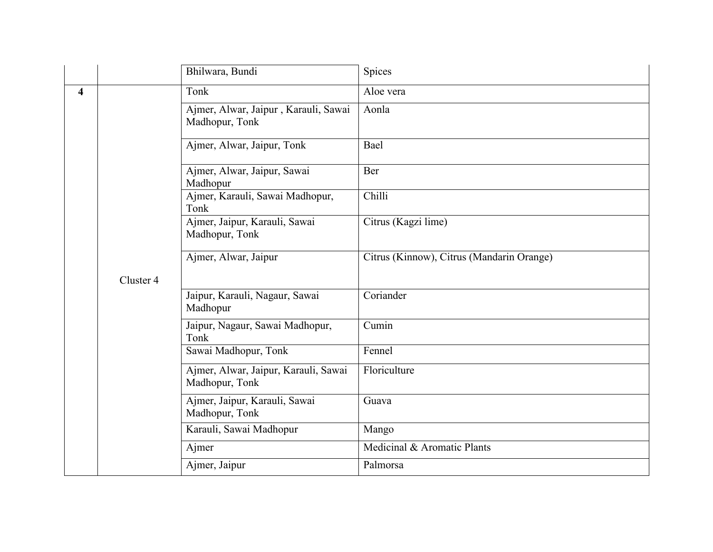|                         |           | Bhilwara, Bundi                                        | Spices                                    |
|-------------------------|-----------|--------------------------------------------------------|-------------------------------------------|
| $\overline{\mathbf{4}}$ |           | Tonk                                                   | Aloe vera                                 |
|                         |           | Ajmer, Alwar, Jaipur, Karauli, Sawai<br>Madhopur, Tonk | Aonla                                     |
|                         |           | Ajmer, Alwar, Jaipur, Tonk                             | Bael                                      |
|                         |           | Ajmer, Alwar, Jaipur, Sawai<br>Madhopur                | Ber                                       |
|                         |           | Ajmer, Karauli, Sawai Madhopur,<br>Tonk                | Chilli                                    |
|                         |           | Ajmer, Jaipur, Karauli, Sawai<br>Madhopur, Tonk        | Citrus (Kagzi lime)                       |
|                         |           | Ajmer, Alwar, Jaipur                                   | Citrus (Kinnow), Citrus (Mandarin Orange) |
|                         | Cluster 4 |                                                        |                                           |
|                         |           | Jaipur, Karauli, Nagaur, Sawai<br>Madhopur             | Coriander                                 |
|                         |           | Jaipur, Nagaur, Sawai Madhopur,<br>Tonk                | Cumin                                     |
|                         |           | Sawai Madhopur, Tonk                                   | Fennel                                    |
|                         |           | Ajmer, Alwar, Jaipur, Karauli, Sawai<br>Madhopur, Tonk | Floriculture                              |
|                         |           | Ajmer, Jaipur, Karauli, Sawai<br>Madhopur, Tonk        | Guava                                     |
|                         |           | Karauli, Sawai Madhopur                                | Mango                                     |
|                         |           | Ajmer                                                  | Medicinal & Aromatic Plants               |
|                         |           | Ajmer, Jaipur                                          | Palmorsa                                  |